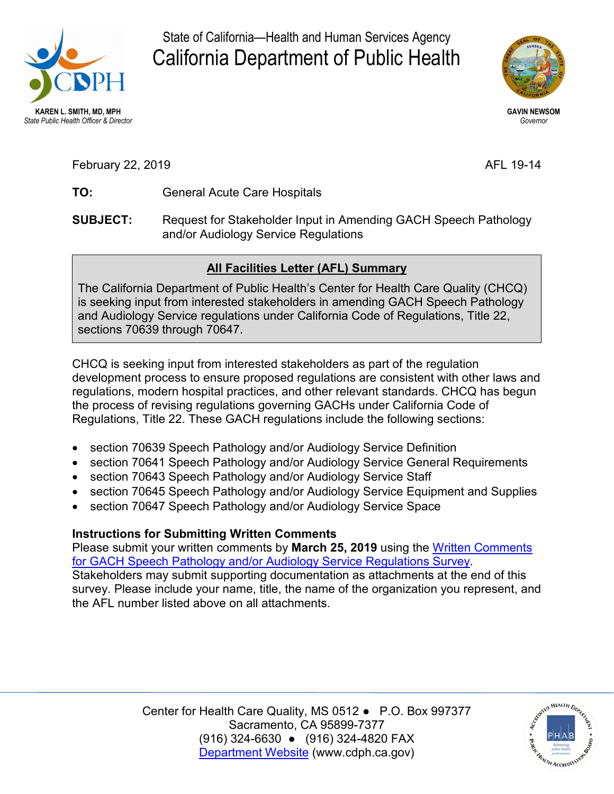

State of California—Health and Human Services Agency California Department of Public Health



**GAVIN NEWSOM**  *Governor* 

February 22, 2019 **AFL 19-14** 

- **TO:** General Acute Care Hospitals
- **SUBJECT:** Request for Stakeholder Input in Amending GACH Speech Pathology and/or Audiology Service Regulations

## **All Facilities Letter (AFL) Summary**

The California Department of Public Health's Center for Health Care Quality (CHCQ) is seeking input from interested stakeholders in amending GACH Speech Pathology and Audiology Service regulations under California Code of Regulations, Title 22, sections 70639 through 70647.

 CHCQ is seeking input from interested stakeholders as part of the regulation Regulations, Title 22. These GACH regulations include the following sections: development process to ensure proposed regulations are consistent with other laws and regulations, modern hospital practices, and other relevant standards. CHCQ has begun the process of revising regulations governing GACHs under California Code of

- section 70639 Speech Pathology and/or Audiology Service Definition
- section 70641 Speech Pathology and/or Audiology Service General Requirements
- section 70643 Speech Pathology and/or Audiology Service Staff
- section 70645 Speech Pathology and/or Audiology Service Equipment and Supplies
- section 70647 Speech Pathology and/or Audiology Service Space

## **Instructions for Submitting Written Comments**

Please submit your written comments by **March 25, 2019** using the Written Comments Stakeholders may submit supporting documentation as attachments at the end of this [for GACH Speech Pathology and/or Audiology Service Regulations Survey.](https://www.surveymonkey.com/r/JDG2FLZ) survey. Please include your name, title, the name of the organization you represent, and the AFL number listed above on all attachments.